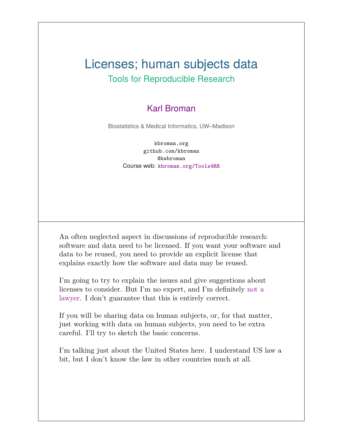#### Licenses; human subjects data Tools for Reproducible Research

#### Karl Broman

Biostatistics & Medical Informatics, UW–Madison

kbroman.org github.com/kbroman @kwbroman Course web: kbroman.org/Tools4RR

An often neglected aspect in discussions of reproducible research: software and data need to be licensed. If you want your software and data to be reused, you need to provide an explicit license that explains exactly how the software and data may be reused.

I'm going to try to explain the issues and give suggestions about licenses to consider. But I'm no expert, and I'm definitely not a lawyer. I don't guarantee that this is entirely correct.

If you will be sharing data on human subjects, or, for that matter, just working with data on human subjects, you need to be extra careful. I'll try to sketch the basic concerns.

I'm talking just about the United States here. I understand US law a bit, but I don't know the law in other countries much at all.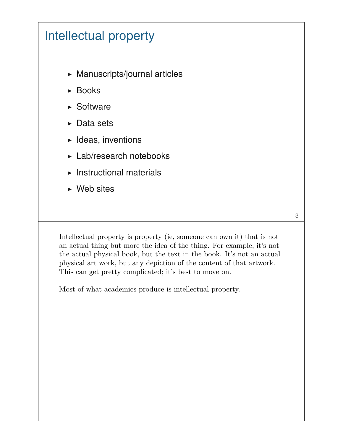# Intellectual property

- ▶ Manuscripts/journal articles
- ▶ Books
- ▶ Software
- ▶ Data sets
- $\blacktriangleright$  Ideas, inventions
- ▶ Lab/research notebooks
- $\blacktriangleright$  Instructional materials
- $\triangleright$  Web sites

Intellectual property is property (ie, someone can own it) that is not an actual thing but more the idea of the thing. For example, it's not the actual physical book, but the text in the book. It's not an actual physical art work, but any depiction of the content of that artwork. This can get pretty complicated; it's best to move on.

3

Most of what academics produce is intellectual property.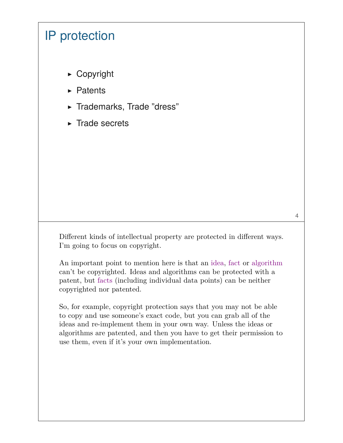### IP protection

- ▶ Copyright
- ▶ Patents
- ▶ Trademarks, Trade "dress"
- ▶ Trade secrets

Different kinds of intellectual property are protected in different ways. I'm going to focus on copyright.

An important point to mention here is that an idea, fact or algorithm can't be copyrighted. Ideas and algorithms can be protected with a patent, but facts (including individual data points) can be neither copyrighted nor patented.

So, for example, copyright protection says that you may not be able to copy and use someone's exact code, but you can grab all of the ideas and re-implement them in your own way. Unless the ideas or algorithms are patented, and then you have to get their permission to use them, even if it's your own implementation.

4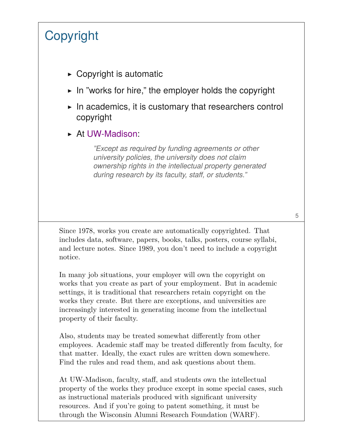# **Copyright**

- $\triangleright$  Copyright is automatic
- ▶ In "works for hire," the employer holds the copyright
- $\triangleright$  In academics, it is customary that researchers control copyright
- ▶ At UW-Madison:

*"Except as required by funding agreements or other university policies, the university does not claim ownership rights in the intellectual property generated during research by its faculty, staff, or students."*

Since 1978, works you create are automatically copyrighted. That includes data, software, papers, books, talks, posters, course syllabi, and lecture notes. Since 1989, you don't need to include a copyright notice.

In many job situations, your employer will own the copyright on works that you create as part of your employment. But in academic settings, it is traditional that researchers retain copyright on the works they create. But there are exceptions, and universities are increasingly interested in generating income from the intellectual property of their faculty.

Also, students may be treated somewhat differently from other employees. Academic staff may be treated differently from faculty, for that matter. Ideally, the exact rules are written down somewhere. Find the rules and read them, and ask questions about them.

At UW-Madison, faculty, staff, and students own the intellectual property of the works they produce except in some special cases, such as instructional materials produced with significant university resources. And if you're going to patent something, it must be through the Wisconsin Alumni Research Foundation (WARF).

5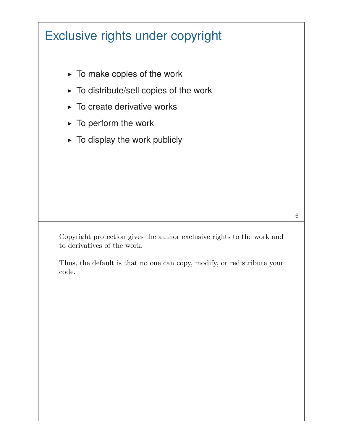# Exclusive rights under copyright

- $\triangleright$  To make copies of the work
- ▶ To distribute/sell copies of the work
- $\triangleright$  To create derivative works
- $\blacktriangleright$  To perform the work
- $\triangleright$  To display the work publicly

Copyright protection gives the author exclusive rights to the work and to derivatives of the work.

Thus, the default is that no one can copy, modify, or redistribute your code.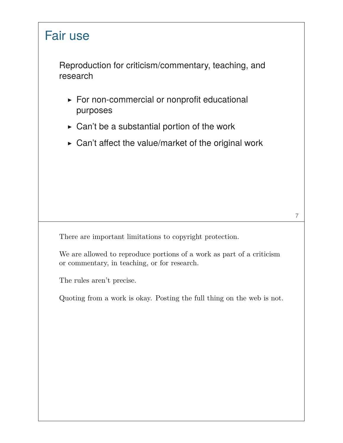# Fair use Reproduction for criticism/commentary, teaching, and research ▶ For non-commercial or nonprofit educational purposes  $\triangleright$  Can't be a substantial portion of the work  $\triangleright$  Can't affect the value/market of the original work 7 There are important limitations to copyright protection. We are allowed to reproduce portions of a work as part of a criticism or commentary, in teaching, or for research. The rules aren't precise. Quoting from a work is okay. Posting the full thing on the web is not.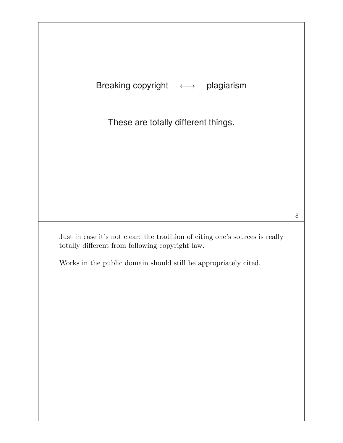| <b>Breaking copyright</b> |  | plagiarism |
|---------------------------|--|------------|
|---------------------------|--|------------|

These are totally different things.

Just in case it's not clear: the tradition of citing one's sources is really totally different from following copyright law.

8

Works in the public domain should still be appropriately cited.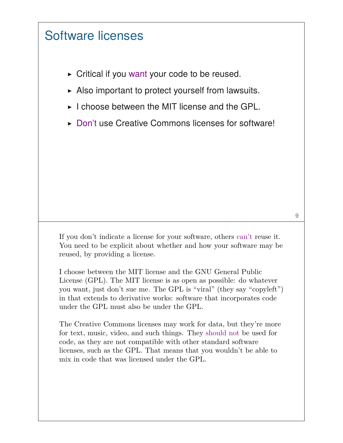#### Software licenses

- $\triangleright$  Critical if you want your code to be reused.
- $\triangleright$  Also important to protect yourself from lawsuits.
- ▶ I choose between the MIT license and the GPL.
- ▶ Don't use Creative Commons licenses for software!

If you don't indicate a license for your software, others can't reuse it. You need to be explicit about whether and how your software may be reused, by providing a license.

I choose between the MIT license and the GNU General Public License (GPL). The MIT license is as open as possible: do whatever you want, just don't sue me. The GPL is "viral" (they say "copyleft") in that extends to derivative works: software that incorporates code under the GPL must also be under the GPL.

The Creative Commons licenses may work for data, but they're more for text, music, video, and such things. They should not be used for code, as they are not compatible with other standard software licenses, such as the GPL. That means that you wouldn't be able to mix in code that was licensed under the GPL.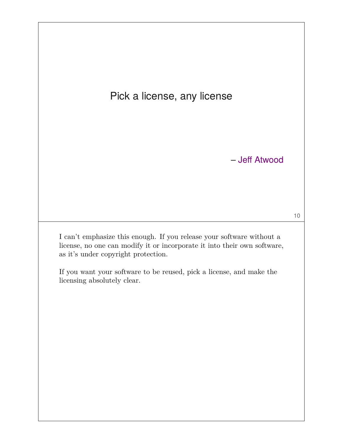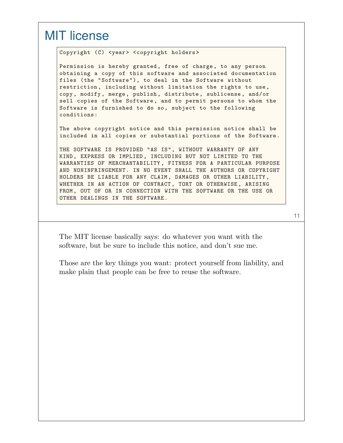#### MIT license

Copyright (C) <year> <copyright holders>

Permission is hereby granted , free of charge, to any person obtaining a copy of this software and associated documentation files (the "Software"), to deal **in** the Software without restriction , including without limitation the rights to use, copy, modify, merge, publish, distribute, sublicense, and/or sell copies of the Software , and to permit persons to whom the Software is furnished to **do** so, subject to the following conditions:

The above copyright notice and this permission notice shall be included **in** all copies or substantial portions of the Software.

THE SOFTWARE IS PROVIDED "AS IS", WITHOUT WARRANTY OF ANY KIND, EXPRESS OR IMPLIED , INCLUDING BUT NOT LIMITED TO THE WARRANTIES OF MERCHANTABILITY , FITNESS FOR A PARTICULAR PURPOSE AND NONINFRINGEMENT. IN NO EVENT SHALL THE AUTHORS OR COPYRIGHT HOLDERS BE LIABLE FOR ANY CLAIM, DAMAGES OR OTHER LIABILITY , WHETHER IN AN ACTION OF CONTRACT, TORT OR OTHERWISE, ARISING FROM, OUT OF OR IN CONNECTION WITH THE SOFTWARE OR THE USE OR OTHER DEALINGS IN THE SOFTWARE.

11

The MIT license basically says: do whatever you want with the software, but be sure to include this notice, and don't sue me.

Those are the key things you want: protect yourself from liability, and make plain that people can be free to reuse the software.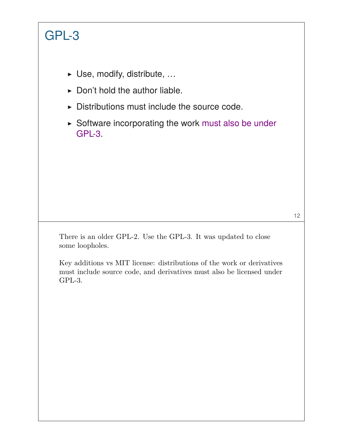# GPL-3

- ▶ Use, modify, distribute, …
- $\triangleright$  Don't hold the author liable.
- ▶ Distributions must include the source code.
- ▶ Software incorporating the work must also be under GPL-3.

12

There is an older GPL-2. Use the GPL-3. It was updated to close some loopholes.

Key additions vs MIT license: distributions of the work or derivatives must include source code, and derivatives must also be licensed under GPL-3.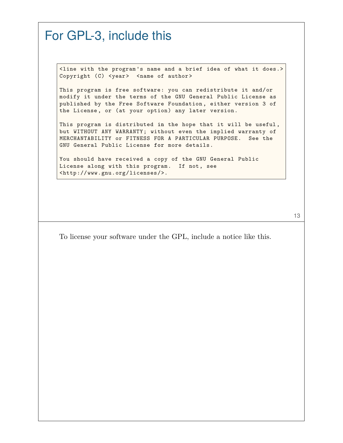#### For GPL-3, include this <line with the program 's name and a brief idea of what it does.> Copyright (C) <year> <name of author> This program is free software: you can redistribute it and/or modify it under the terms of the GNU General Public License as published by the Free Software Foundation , either version 3 of the License , or (at your option) any later version. This program is distributed **in** the hope that it will be useful, but WITHOUT ANY WARRANTY; without even the implied warranty of MERCHANTABILITY or FITNESS FOR A PARTICULAR PURPOSE. See the GNU General Public License **for** more details. You should have received a copy of the GNU General Public License along with this program. If not, see <http://www.gnu.org/licenses/>.

13

To license your software under the GPL, include a notice like this.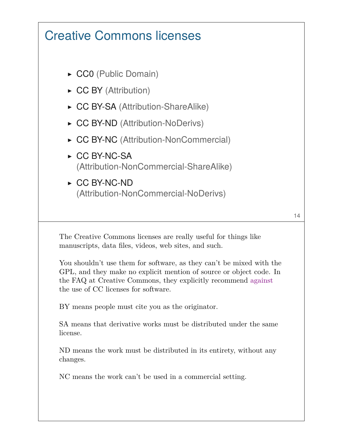## Creative Commons licenses

- ▶ CC0 (Public Domain)
- ▶ CC BY (Attribution)
- ▶ CC BY-SA (Attribution-ShareAlike)
- ▶ CC BY-ND (Attribution-NoDerivs)
- ▶ CC BY-NC (Attribution-NonCommercial)
- ▶ CC BY-NC-SA (Attribution-NonCommercial-ShareAlike)
- ▶ CC BY-NC-ND (Attribution-NonCommercial-NoDerivs)

The Creative Commons licenses are really useful for things like manuscripts, data files, videos, web sites, and such.

You shouldn't use them for software, as they can't be mixed with the GPL, and they make no explicit mention of source or object code. In the FAQ at Creative Commons, they explicitly recommend against the use of CC licenses for software.

BY means people must cite you as the originator.

SA means that derivative works must be distributed under the same license.

ND means the work must be distributed in its entirety, without any changes.

NC means the work can't be used in a commercial setting.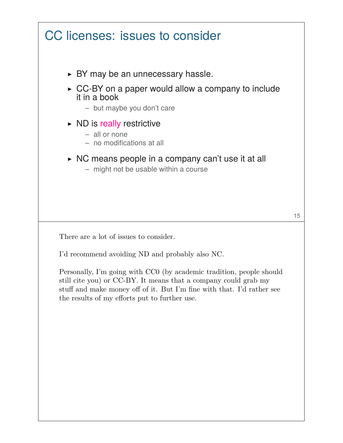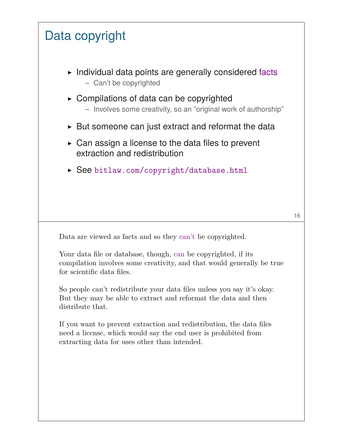

If you want to prevent extraction and redistribution, the data files need a license, which would say the end user is prohibited from extracting data for uses other than intended.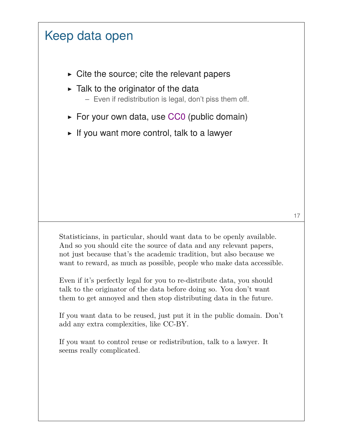## Keep data open

- $\triangleright$  Cite the source; cite the relevant papers
- $\triangleright$  Talk to the originator of the data
	- Even if redistribution is legal, don't piss them off.
- $\triangleright$  For your own data, use CC0 (public domain)
- $\triangleright$  If you want more control, talk to a lawyer

Statisticians, in particular, should want data to be openly available. And so you should cite the source of data and any relevant papers, not just because that's the academic tradition, but also because we want to reward, as much as possible, people who make data accessible.

Even if it's perfectly legal for you to re-distribute data, you should talk to the originator of the data before doing so. You don't want them to get annoyed and then stop distributing data in the future.

If you want data to be reused, just put it in the public domain. Don't add any extra complexities, like CC-BY.

If you want to control reuse or redistribution, talk to a lawyer. It seems really complicated.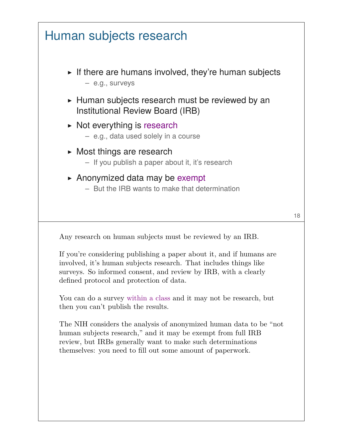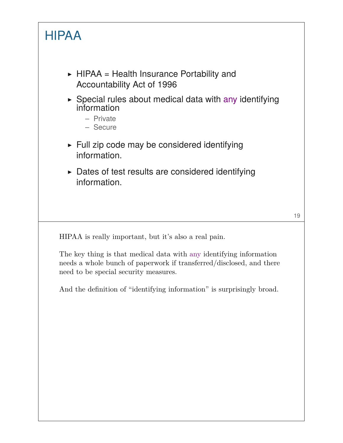